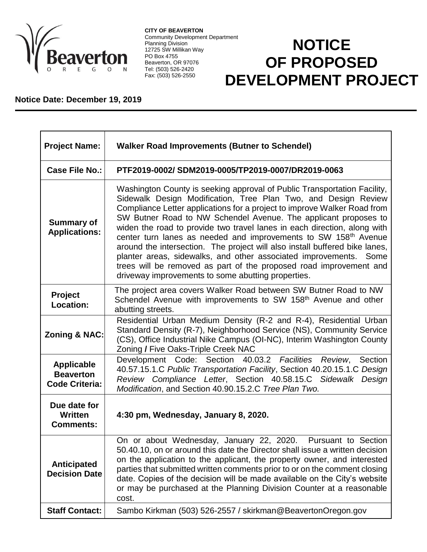

**CITY OF BEAVERTON** Community Development Department Planning Division 12725 SW Millikan Way PO Box 4755 Beaverton, OR 97076 Tel: (503) 526-2420 Fax: (503) 526-2550

## **NOTICE OF PROPOSED DEVELOPMENT PROJECT**

## **Notice Date: December 19, 2019**

| <b>Project Name:</b>                                           | <b>Walker Road Improvements (Butner to Schendel)</b>                                                                                                                                                                                                                                                                                                                                                                                                                                                                                                                                                                                                                                                                                 |
|----------------------------------------------------------------|--------------------------------------------------------------------------------------------------------------------------------------------------------------------------------------------------------------------------------------------------------------------------------------------------------------------------------------------------------------------------------------------------------------------------------------------------------------------------------------------------------------------------------------------------------------------------------------------------------------------------------------------------------------------------------------------------------------------------------------|
| <b>Case File No.:</b>                                          | PTF2019-0002/SDM2019-0005/TP2019-0007/DR2019-0063                                                                                                                                                                                                                                                                                                                                                                                                                                                                                                                                                                                                                                                                                    |
| <b>Summary of</b><br><b>Applications:</b>                      | Washington County is seeking approval of Public Transportation Facility,<br>Sidewalk Design Modification, Tree Plan Two, and Design Review<br>Compliance Letter applications for a project to improve Walker Road from<br>SW Butner Road to NW Schendel Avenue. The applicant proposes to<br>widen the road to provide two travel lanes in each direction, along with<br>center turn lanes as needed and improvements to SW 158 <sup>th</sup> Avenue<br>around the intersection. The project will also install buffered bike lanes,<br>planter areas, sidewalks, and other associated improvements. Some<br>trees will be removed as part of the proposed road improvement and<br>driveway improvements to some abutting properties. |
| <b>Project</b><br>Location:                                    | The project area covers Walker Road between SW Butner Road to NW<br>Schendel Avenue with improvements to SW 158 <sup>th</sup> Avenue and other<br>abutting streets.                                                                                                                                                                                                                                                                                                                                                                                                                                                                                                                                                                  |
| <b>Zoning &amp; NAC:</b>                                       | Residential Urban Medium Density (R-2 and R-4), Residential Urban<br>Standard Density (R-7), Neighborhood Service (NS), Community Service<br>(CS), Office Industrial Nike Campus (OI-NC), Interim Washington County<br>Zoning / Five Oaks-Triple Creek NAC                                                                                                                                                                                                                                                                                                                                                                                                                                                                           |
| <b>Applicable</b><br><b>Beaverton</b><br><b>Code Criteria:</b> | Development Code: Section 40.03.2 Facilities<br>Review,<br>Section<br>40.57.15.1.C Public Transportation Facility, Section 40.20.15.1.C Design<br>Review Compliance Letter, Section 40.58.15.C Sidewalk Design<br>Modification, and Section 40.90.15.2.C Tree Plan Two.                                                                                                                                                                                                                                                                                                                                                                                                                                                              |
| Due date for<br>Written<br><b>Comments:</b>                    | 4:30 pm, Wednesday, January 8, 2020.                                                                                                                                                                                                                                                                                                                                                                                                                                                                                                                                                                                                                                                                                                 |
| <b>Anticipated</b><br><b>Decision Date</b>                     | On or about Wednesday, January 22, 2020.<br>Pursuant to Section<br>50.40.10, on or around this date the Director shall issue a written decision<br>on the application to the applicant, the property owner, and interested<br>parties that submitted written comments prior to or on the comment closing<br>date. Copies of the decision will be made available on the City's website<br>or may be purchased at the Planning Division Counter at a reasonable<br>cost.                                                                                                                                                                                                                                                               |
| <b>Staff Contact:</b>                                          | Sambo Kirkman (503) 526-2557 / skirkman@BeavertonOregon.gov                                                                                                                                                                                                                                                                                                                                                                                                                                                                                                                                                                                                                                                                          |